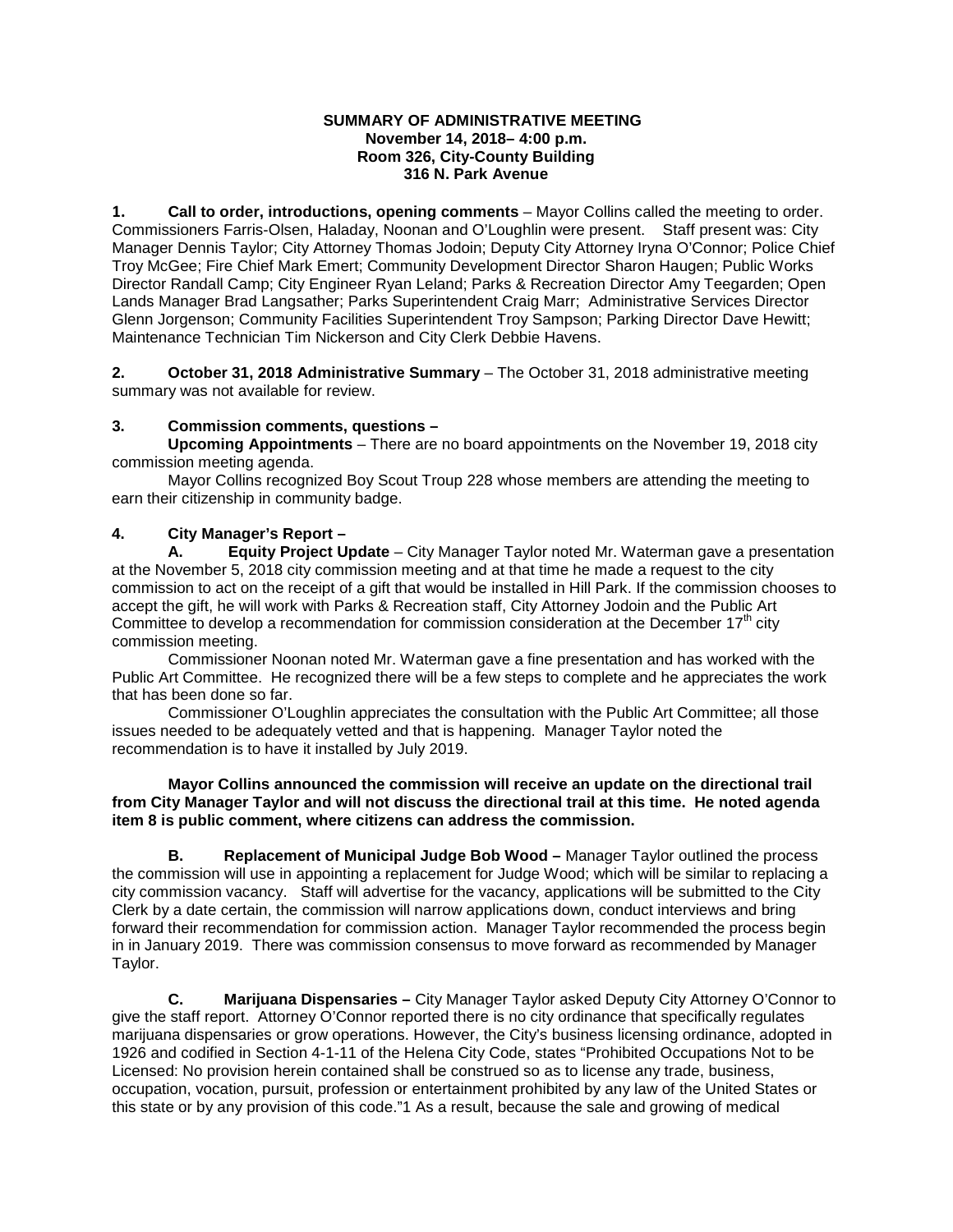#### **SUMMARY OF ADMINISTRATIVE MEETING November 14, 2018– 4:00 p.m. Room 326, City-County Building 316 N. Park Avenue**

**1. Call to order, introductions, opening comments** – Mayor Collins called the meeting to order. Commissioners Farris-Olsen, Haladay, Noonan and O'Loughlin were present. Staff present was: City Manager Dennis Taylor; City Attorney Thomas Jodoin; Deputy City Attorney Iryna O'Connor; Police Chief Troy McGee; Fire Chief Mark Emert; Community Development Director Sharon Haugen; Public Works Director Randall Camp; City Engineer Ryan Leland; Parks & Recreation Director Amy Teegarden; Open Lands Manager Brad Langsather; Parks Superintendent Craig Marr; Administrative Services Director Glenn Jorgenson; Community Facilities Superintendent Troy Sampson; Parking Director Dave Hewitt; Maintenance Technician Tim Nickerson and City Clerk Debbie Havens.

**2. October 31, 2018 Administrative Summary** – The October 31, 2018 administrative meeting summary was not available for review.

### **3. Commission comments, questions –**

**Upcoming Appointments** – There are no board appointments on the November 19, 2018 city commission meeting agenda.

Mayor Collins recognized Boy Scout Troup 228 whose members are attending the meeting to earn their citizenship in community badge.

### **4. City Manager's Report –**

**A. Equity Project Update** – City Manager Taylor noted Mr. Waterman gave a presentation at the November 5, 2018 city commission meeting and at that time he made a request to the city commission to act on the receipt of a gift that would be installed in Hill Park. If the commission chooses to accept the gift, he will work with Parks & Recreation staff, City Attorney Jodoin and the Public Art Committee to develop a recommendation for commission consideration at the December  $17<sup>th</sup>$  city commission meeting.

Commissioner Noonan noted Mr. Waterman gave a fine presentation and has worked with the Public Art Committee. He recognized there will be a few steps to complete and he appreciates the work that has been done so far.

Commissioner O'Loughlin appreciates the consultation with the Public Art Committee; all those issues needed to be adequately vetted and that is happening. Manager Taylor noted the recommendation is to have it installed by July 2019.

### **Mayor Collins announced the commission will receive an update on the directional trail from City Manager Taylor and will not discuss the directional trail at this time. He noted agenda item 8 is public comment, where citizens can address the commission.**

**B. Replacement of Municipal Judge Bob Wood –** Manager Taylor outlined the process the commission will use in appointing a replacement for Judge Wood; which will be similar to replacing a city commission vacancy. Staff will advertise for the vacancy, applications will be submitted to the City Clerk by a date certain, the commission will narrow applications down, conduct interviews and bring forward their recommendation for commission action. Manager Taylor recommended the process begin in in January 2019. There was commission consensus to move forward as recommended by Manager Taylor.

**C. Marijuana Dispensaries –** City Manager Taylor asked Deputy City Attorney O'Connor to give the staff report. Attorney O'Connor reported there is no city ordinance that specifically regulates marijuana dispensaries or grow operations. However, the City's business licensing ordinance, adopted in 1926 and codified in Section 4-1-11 of the Helena City Code, states "Prohibited Occupations Not to be Licensed: No provision herein contained shall be construed so as to license any trade, business, occupation, vocation, pursuit, profession or entertainment prohibited by any law of the United States or this state or by any provision of this code."1 As a result, because the sale and growing of medical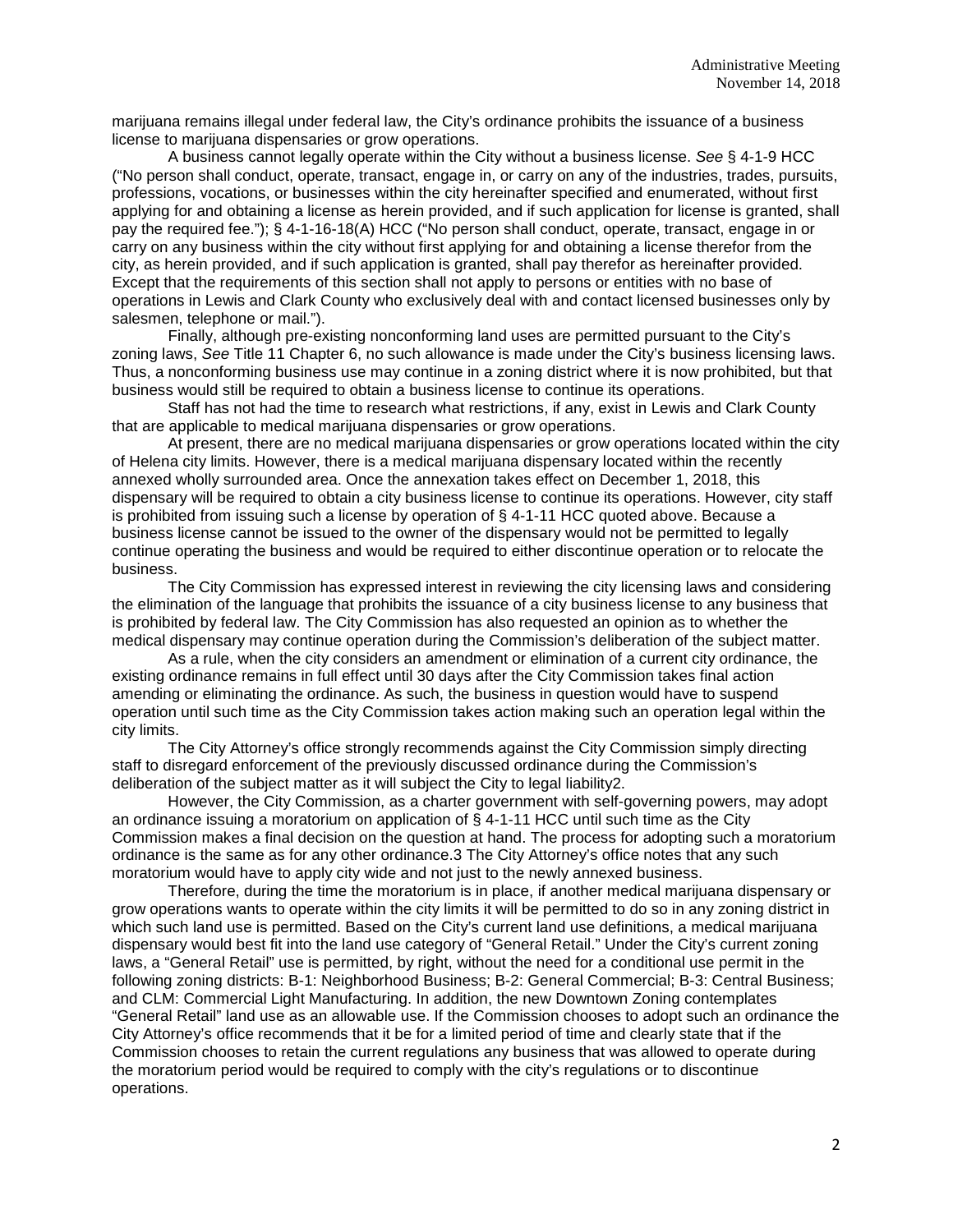marijuana remains illegal under federal law, the City's ordinance prohibits the issuance of a business license to marijuana dispensaries or grow operations.

A business cannot legally operate within the City without a business license. *See* § 4-1-9 HCC ("No person shall conduct, operate, transact, engage in, or carry on any of the industries, trades, pursuits, professions, vocations, or businesses within the city hereinafter specified and enumerated, without first applying for and obtaining a license as herein provided, and if such application for license is granted, shall pay the required fee."); § 4-1-16-18(A) HCC ("No person shall conduct, operate, transact, engage in or carry on any business within the city without first applying for and obtaining a license therefor from the city, as herein provided, and if such application is granted, shall pay therefor as hereinafter provided. Except that the requirements of this section shall not apply to persons or entities with no base of operations in Lewis and Clark County who exclusively deal with and contact licensed businesses only by salesmen, telephone or mail.").

Finally, although pre-existing nonconforming land uses are permitted pursuant to the City's zoning laws, *See* Title 11 Chapter 6, no such allowance is made under the City's business licensing laws. Thus, a nonconforming business use may continue in a zoning district where it is now prohibited, but that business would still be required to obtain a business license to continue its operations.

Staff has not had the time to research what restrictions, if any, exist in Lewis and Clark County that are applicable to medical marijuana dispensaries or grow operations.

At present, there are no medical marijuana dispensaries or grow operations located within the city of Helena city limits. However, there is a medical marijuana dispensary located within the recently annexed wholly surrounded area. Once the annexation takes effect on December 1, 2018, this dispensary will be required to obtain a city business license to continue its operations. However, city staff is prohibited from issuing such a license by operation of § 4-1-11 HCC quoted above. Because a business license cannot be issued to the owner of the dispensary would not be permitted to legally continue operating the business and would be required to either discontinue operation or to relocate the business.

The City Commission has expressed interest in reviewing the city licensing laws and considering the elimination of the language that prohibits the issuance of a city business license to any business that is prohibited by federal law. The City Commission has also requested an opinion as to whether the medical dispensary may continue operation during the Commission's deliberation of the subject matter.

As a rule, when the city considers an amendment or elimination of a current city ordinance, the existing ordinance remains in full effect until 30 days after the City Commission takes final action amending or eliminating the ordinance. As such, the business in question would have to suspend operation until such time as the City Commission takes action making such an operation legal within the city limits.

The City Attorney's office strongly recommends against the City Commission simply directing staff to disregard enforcement of the previously discussed ordinance during the Commission's deliberation of the subject matter as it will subject the City to legal liability2.

However, the City Commission, as a charter government with self-governing powers, may adopt an ordinance issuing a moratorium on application of § 4-1-11 HCC until such time as the City Commission makes a final decision on the question at hand. The process for adopting such a moratorium ordinance is the same as for any other ordinance.3 The City Attorney's office notes that any such moratorium would have to apply city wide and not just to the newly annexed business.

Therefore, during the time the moratorium is in place, if another medical marijuana dispensary or grow operations wants to operate within the city limits it will be permitted to do so in any zoning district in which such land use is permitted. Based on the City's current land use definitions, a medical marijuana dispensary would best fit into the land use category of "General Retail." Under the City's current zoning laws, a "General Retail" use is permitted, by right, without the need for a conditional use permit in the following zoning districts: B-1: Neighborhood Business; B-2: General Commercial; B-3: Central Business; and CLM: Commercial Light Manufacturing. In addition, the new Downtown Zoning contemplates "General Retail" land use as an allowable use. If the Commission chooses to adopt such an ordinance the City Attorney's office recommends that it be for a limited period of time and clearly state that if the Commission chooses to retain the current regulations any business that was allowed to operate during the moratorium period would be required to comply with the city's regulations or to discontinue operations.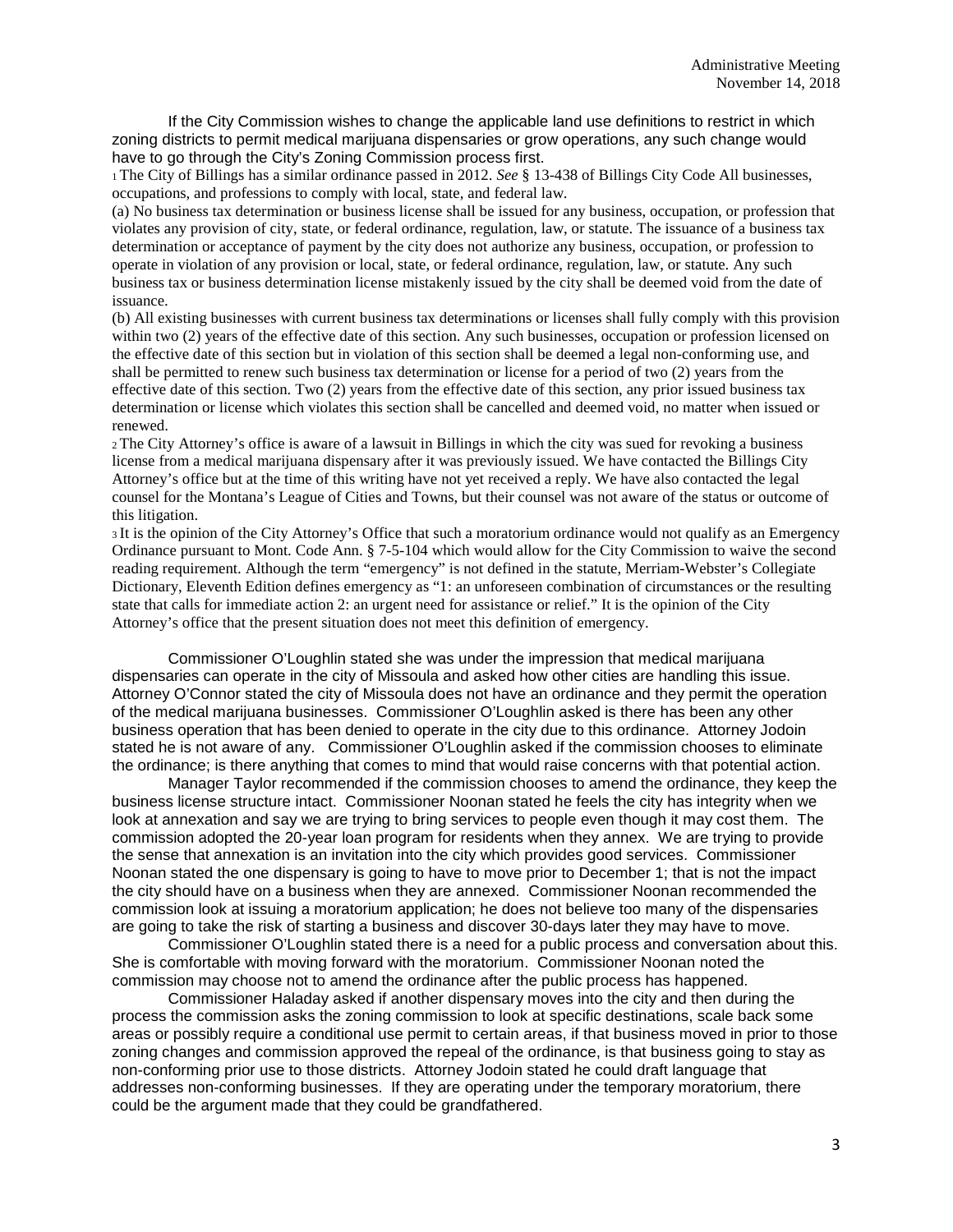If the City Commission wishes to change the applicable land use definitions to restrict in which zoning districts to permit medical marijuana dispensaries or grow operations, any such change would have to go through the City's Zoning Commission process first.

1 The City of Billings has a similar ordinance passed in 2012. *See* § 13-438 of Billings City Code All businesses, occupations, and professions to comply with local, state, and federal law.

(a) No business tax determination or business license shall be issued for any business, occupation, or profession that violates any provision of city, state, or federal ordinance, regulation, law, or statute. The issuance of a business tax determination or acceptance of payment by the city does not authorize any business, occupation, or profession to operate in violation of any provision or local, state, or federal ordinance, regulation, law, or statute. Any such business tax or business determination license mistakenly issued by the city shall be deemed void from the date of issuance.

(b) All existing businesses with current business tax determinations or licenses shall fully comply with this provision within two (2) years of the effective date of this section. Any such businesses, occupation or profession licensed on the effective date of this section but in violation of this section shall be deemed a legal non-conforming use, and shall be permitted to renew such business tax determination or license for a period of two (2) years from the effective date of this section. Two (2) years from the effective date of this section, any prior issued business tax determination or license which violates this section shall be cancelled and deemed void, no matter when issued or renewed.

2 The City Attorney's office is aware of a lawsuit in Billings in which the city was sued for revoking a business license from a medical marijuana dispensary after it was previously issued. We have contacted the Billings City Attorney's office but at the time of this writing have not yet received a reply. We have also contacted the legal counsel for the Montana's League of Cities and Towns, but their counsel was not aware of the status or outcome of this litigation.

3 It is the opinion of the City Attorney's Office that such a moratorium ordinance would not qualify as an Emergency Ordinance pursuant to Mont. Code Ann. § 7-5-104 which would allow for the City Commission to waive the second reading requirement. Although the term "emergency" is not defined in the statute, Merriam-Webster's Collegiate Dictionary, Eleventh Edition defines emergency as "1: an unforeseen combination of circumstances or the resulting state that calls for immediate action 2: an urgent need for assistance or relief." It is the opinion of the City Attorney's office that the present situation does not meet this definition of emergency.

Commissioner O'Loughlin stated she was under the impression that medical marijuana dispensaries can operate in the city of Missoula and asked how other cities are handling this issue. Attorney O'Connor stated the city of Missoula does not have an ordinance and they permit the operation of the medical marijuana businesses. Commissioner O'Loughlin asked is there has been any other business operation that has been denied to operate in the city due to this ordinance. Attorney Jodoin stated he is not aware of any. Commissioner O'Loughlin asked if the commission chooses to eliminate the ordinance; is there anything that comes to mind that would raise concerns with that potential action.

Manager Taylor recommended if the commission chooses to amend the ordinance, they keep the business license structure intact. Commissioner Noonan stated he feels the city has integrity when we look at annexation and say we are trying to bring services to people even though it may cost them. The commission adopted the 20-year loan program for residents when they annex. We are trying to provide the sense that annexation is an invitation into the city which provides good services. Commissioner Noonan stated the one dispensary is going to have to move prior to December 1; that is not the impact the city should have on a business when they are annexed. Commissioner Noonan recommended the commission look at issuing a moratorium application; he does not believe too many of the dispensaries are going to take the risk of starting a business and discover 30-days later they may have to move.

Commissioner O'Loughlin stated there is a need for a public process and conversation about this. She is comfortable with moving forward with the moratorium. Commissioner Noonan noted the commission may choose not to amend the ordinance after the public process has happened.

Commissioner Haladay asked if another dispensary moves into the city and then during the process the commission asks the zoning commission to look at specific destinations, scale back some areas or possibly require a conditional use permit to certain areas, if that business moved in prior to those zoning changes and commission approved the repeal of the ordinance, is that business going to stay as non-conforming prior use to those districts. Attorney Jodoin stated he could draft language that addresses non-conforming businesses. If they are operating under the temporary moratorium, there could be the argument made that they could be grandfathered.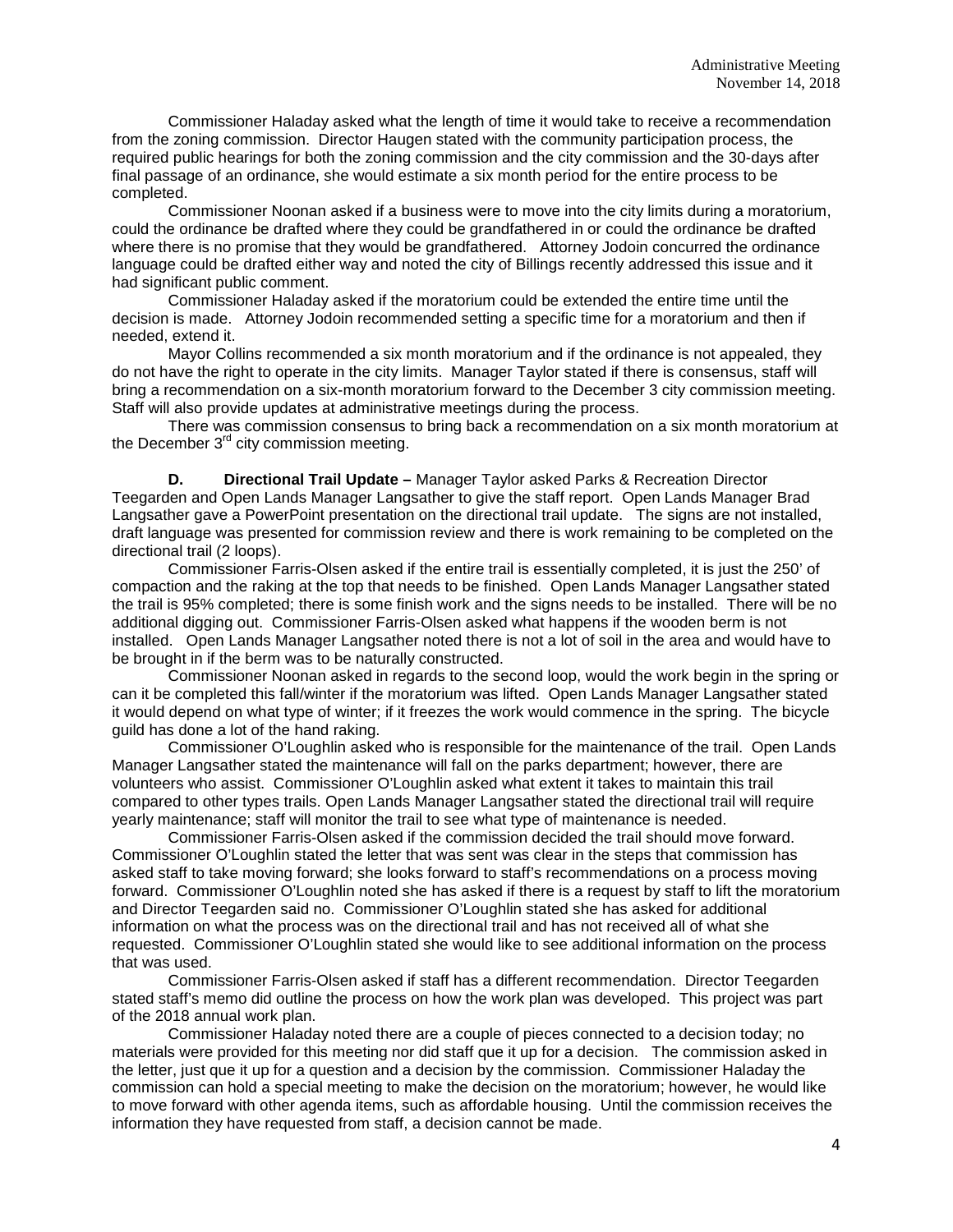Commissioner Haladay asked what the length of time it would take to receive a recommendation from the zoning commission. Director Haugen stated with the community participation process, the required public hearings for both the zoning commission and the city commission and the 30-days after final passage of an ordinance, she would estimate a six month period for the entire process to be completed.

Commissioner Noonan asked if a business were to move into the city limits during a moratorium, could the ordinance be drafted where they could be grandfathered in or could the ordinance be drafted where there is no promise that they would be grandfathered. Attorney Jodoin concurred the ordinance language could be drafted either way and noted the city of Billings recently addressed this issue and it had significant public comment.

Commissioner Haladay asked if the moratorium could be extended the entire time until the decision is made. Attorney Jodoin recommended setting a specific time for a moratorium and then if needed, extend it.

Mayor Collins recommended a six month moratorium and if the ordinance is not appealed, they do not have the right to operate in the city limits. Manager Taylor stated if there is consensus, staff will bring a recommendation on a six-month moratorium forward to the December 3 city commission meeting. Staff will also provide updates at administrative meetings during the process.

There was commission consensus to bring back a recommendation on a six month moratorium at the December  $3<sup>rd</sup>$  city commission meeting.

**D. Directional Trail Update –** Manager Taylor asked Parks & Recreation Director Teegarden and Open Lands Manager Langsather to give the staff report. Open Lands Manager Brad Langsather gave a PowerPoint presentation on the directional trail update. The signs are not installed, draft language was presented for commission review and there is work remaining to be completed on the directional trail (2 loops).

 Commissioner Farris-Olsen asked if the entire trail is essentially completed, it is just the 250' of compaction and the raking at the top that needs to be finished. Open Lands Manager Langsather stated the trail is 95% completed; there is some finish work and the signs needs to be installed. There will be no additional digging out. Commissioner Farris-Olsen asked what happens if the wooden berm is not installed. Open Lands Manager Langsather noted there is not a lot of soil in the area and would have to be brought in if the berm was to be naturally constructed.

Commissioner Noonan asked in regards to the second loop, would the work begin in the spring or can it be completed this fall/winter if the moratorium was lifted. Open Lands Manager Langsather stated it would depend on what type of winter; if it freezes the work would commence in the spring. The bicycle guild has done a lot of the hand raking.

Commissioner O'Loughlin asked who is responsible for the maintenance of the trail. Open Lands Manager Langsather stated the maintenance will fall on the parks department; however, there are volunteers who assist. Commissioner O'Loughlin asked what extent it takes to maintain this trail compared to other types trails. Open Lands Manager Langsather stated the directional trail will require yearly maintenance; staff will monitor the trail to see what type of maintenance is needed.

Commissioner Farris-Olsen asked if the commission decided the trail should move forward. Commissioner O'Loughlin stated the letter that was sent was clear in the steps that commission has asked staff to take moving forward; she looks forward to staff's recommendations on a process moving forward. Commissioner O'Loughlin noted she has asked if there is a request by staff to lift the moratorium and Director Teegarden said no. Commissioner O'Loughlin stated she has asked for additional information on what the process was on the directional trail and has not received all of what she requested. Commissioner O'Loughlin stated she would like to see additional information on the process that was used.

Commissioner Farris-Olsen asked if staff has a different recommendation. Director Teegarden stated staff's memo did outline the process on how the work plan was developed. This project was part of the 2018 annual work plan.

Commissioner Haladay noted there are a couple of pieces connected to a decision today; no materials were provided for this meeting nor did staff que it up for a decision. The commission asked in the letter, just que it up for a question and a decision by the commission. Commissioner Haladay the commission can hold a special meeting to make the decision on the moratorium; however, he would like to move forward with other agenda items, such as affordable housing. Until the commission receives the information they have requested from staff, a decision cannot be made.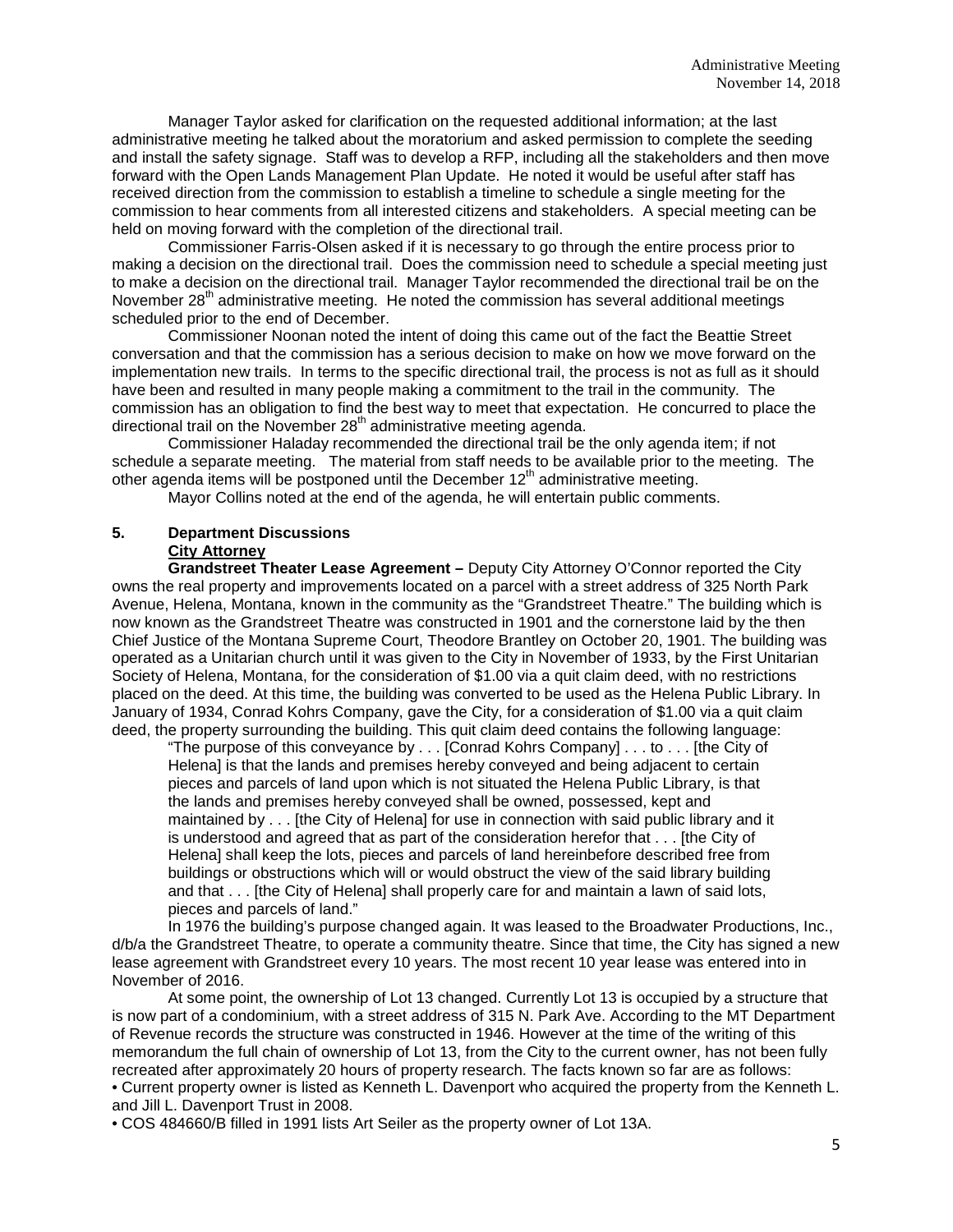Manager Taylor asked for clarification on the requested additional information; at the last administrative meeting he talked about the moratorium and asked permission to complete the seeding and install the safety signage. Staff was to develop a RFP, including all the stakeholders and then move forward with the Open Lands Management Plan Update. He noted it would be useful after staff has received direction from the commission to establish a timeline to schedule a single meeting for the commission to hear comments from all interested citizens and stakeholders. A special meeting can be held on moving forward with the completion of the directional trail.

Commissioner Farris-Olsen asked if it is necessary to go through the entire process prior to making a decision on the directional trail. Does the commission need to schedule a special meeting just to make a decision on the directional trail. Manager Taylor recommended the directional trail be on the November  $28<sup>th</sup>$  administrative meeting. He noted the commission has several additional meetings scheduled prior to the end of December.

Commissioner Noonan noted the intent of doing this came out of the fact the Beattie Street conversation and that the commission has a serious decision to make on how we move forward on the implementation new trails. In terms to the specific directional trail, the process is not as full as it should have been and resulted in many people making a commitment to the trail in the community. The commission has an obligation to find the best way to meet that expectation. He concurred to place the directional trail on the November  $28<sup>th</sup>$  administrative meeting agenda.

Commissioner Haladay recommended the directional trail be the only agenda item; if not schedule a separate meeting. The material from staff needs to be available prior to the meeting. The other agenda items will be postponed until the December 12<sup>th</sup> administrative meeting.

Mayor Collins noted at the end of the agenda, he will entertain public comments.

## **5. Department Discussions City Attorney**

**Grandstreet Theater Lease Agreement –** Deputy City Attorney O'Connor reported the City owns the real property and improvements located on a parcel with a street address of 325 North Park Avenue, Helena, Montana, known in the community as the "Grandstreet Theatre." The building which is now known as the Grandstreet Theatre was constructed in 1901 and the cornerstone laid by the then Chief Justice of the Montana Supreme Court, Theodore Brantley on October 20, 1901. The building was operated as a Unitarian church until it was given to the City in November of 1933, by the First Unitarian Society of Helena, Montana, for the consideration of \$1.00 via a quit claim deed, with no restrictions placed on the deed. At this time, the building was converted to be used as the Helena Public Library. In January of 1934, Conrad Kohrs Company, gave the City, for a consideration of \$1.00 via a quit claim deed, the property surrounding the building. This quit claim deed contains the following language:

"The purpose of this conveyance by . . . [Conrad Kohrs Company] . . . to . . . [the City of Helena] is that the lands and premises hereby conveyed and being adjacent to certain pieces and parcels of land upon which is not situated the Helena Public Library, is that the lands and premises hereby conveyed shall be owned, possessed, kept and maintained by . . . [the City of Helena] for use in connection with said public library and it is understood and agreed that as part of the consideration herefor that . . . [the City of Helena] shall keep the lots, pieces and parcels of land hereinbefore described free from buildings or obstructions which will or would obstruct the view of the said library building and that . . . [the City of Helena] shall properly care for and maintain a lawn of said lots, pieces and parcels of land."

In 1976 the building's purpose changed again. It was leased to the Broadwater Productions, Inc., d/b/a the Grandstreet Theatre, to operate a community theatre. Since that time, the City has signed a new lease agreement with Grandstreet every 10 years. The most recent 10 year lease was entered into in November of 2016.

At some point, the ownership of Lot 13 changed. Currently Lot 13 is occupied by a structure that is now part of a condominium, with a street address of 315 N. Park Ave. According to the MT Department of Revenue records the structure was constructed in 1946. However at the time of the writing of this memorandum the full chain of ownership of Lot 13, from the City to the current owner, has not been fully recreated after approximately 20 hours of property research. The facts known so far are as follows: • Current property owner is listed as Kenneth L. Davenport who acquired the property from the Kenneth L. and Jill L. Davenport Trust in 2008.

• COS 484660/B filled in 1991 lists Art Seiler as the property owner of Lot 13A.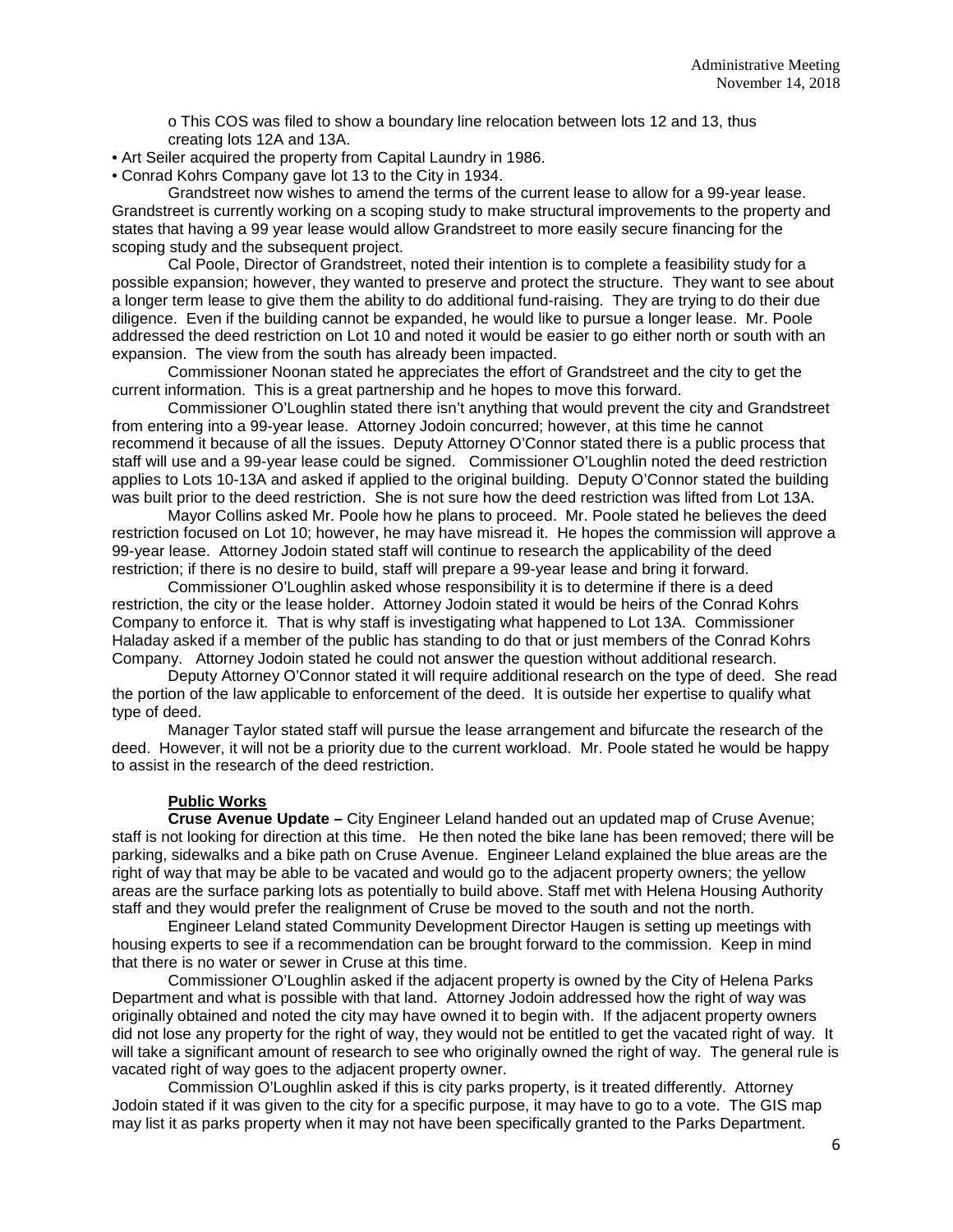o This COS was filed to show a boundary line relocation between lots 12 and 13, thus creating lots 12A and 13A.

• Art Seiler acquired the property from Capital Laundry in 1986.

• Conrad Kohrs Company gave lot 13 to the City in 1934.

Grandstreet now wishes to amend the terms of the current lease to allow for a 99-year lease. Grandstreet is currently working on a scoping study to make structural improvements to the property and states that having a 99 year lease would allow Grandstreet to more easily secure financing for the scoping study and the subsequent project.

Cal Poole, Director of Grandstreet, noted their intention is to complete a feasibility study for a possible expansion; however, they wanted to preserve and protect the structure. They want to see about a longer term lease to give them the ability to do additional fund-raising. They are trying to do their due diligence. Even if the building cannot be expanded, he would like to pursue a longer lease. Mr. Poole addressed the deed restriction on Lot 10 and noted it would be easier to go either north or south with an expansion. The view from the south has already been impacted.

Commissioner Noonan stated he appreciates the effort of Grandstreet and the city to get the current information. This is a great partnership and he hopes to move this forward.

Commissioner O'Loughlin stated there isn't anything that would prevent the city and Grandstreet from entering into a 99-year lease. Attorney Jodoin concurred; however, at this time he cannot recommend it because of all the issues. Deputy Attorney O'Connor stated there is a public process that staff will use and a 99-year lease could be signed. Commissioner O'Loughlin noted the deed restriction applies to Lots 10-13A and asked if applied to the original building. Deputy O'Connor stated the building was built prior to the deed restriction. She is not sure how the deed restriction was lifted from Lot 13A.

Mayor Collins asked Mr. Poole how he plans to proceed. Mr. Poole stated he believes the deed restriction focused on Lot 10; however, he may have misread it. He hopes the commission will approve a 99-year lease. Attorney Jodoin stated staff will continue to research the applicability of the deed restriction; if there is no desire to build, staff will prepare a 99-year lease and bring it forward.

Commissioner O'Loughlin asked whose responsibility it is to determine if there is a deed restriction, the city or the lease holder. Attorney Jodoin stated it would be heirs of the Conrad Kohrs Company to enforce it. That is why staff is investigating what happened to Lot 13A. Commissioner Haladay asked if a member of the public has standing to do that or just members of the Conrad Kohrs Company. Attorney Jodoin stated he could not answer the question without additional research.

Deputy Attorney O'Connor stated it will require additional research on the type of deed. She read the portion of the law applicable to enforcement of the deed. It is outside her expertise to qualify what type of deed.

Manager Taylor stated staff will pursue the lease arrangement and bifurcate the research of the deed. However, it will not be a priority due to the current workload. Mr. Poole stated he would be happy to assist in the research of the deed restriction.

### **Public Works**

**Cruse Avenue Update –** City Engineer Leland handed out an updated map of Cruse Avenue; staff is not looking for direction at this time. He then noted the bike lane has been removed; there will be parking, sidewalks and a bike path on Cruse Avenue. Engineer Leland explained the blue areas are the right of way that may be able to be vacated and would go to the adjacent property owners; the yellow areas are the surface parking lots as potentially to build above. Staff met with Helena Housing Authority staff and they would prefer the realignment of Cruse be moved to the south and not the north.

Engineer Leland stated Community Development Director Haugen is setting up meetings with housing experts to see if a recommendation can be brought forward to the commission. Keep in mind that there is no water or sewer in Cruse at this time.

Commissioner O'Loughlin asked if the adjacent property is owned by the City of Helena Parks Department and what is possible with that land. Attorney Jodoin addressed how the right of way was originally obtained and noted the city may have owned it to begin with. If the adjacent property owners did not lose any property for the right of way, they would not be entitled to get the vacated right of way. It will take a significant amount of research to see who originally owned the right of way. The general rule is vacated right of way goes to the adjacent property owner.

Commission O'Loughlin asked if this is city parks property, is it treated differently. Attorney Jodoin stated if it was given to the city for a specific purpose, it may have to go to a vote. The GIS map may list it as parks property when it may not have been specifically granted to the Parks Department.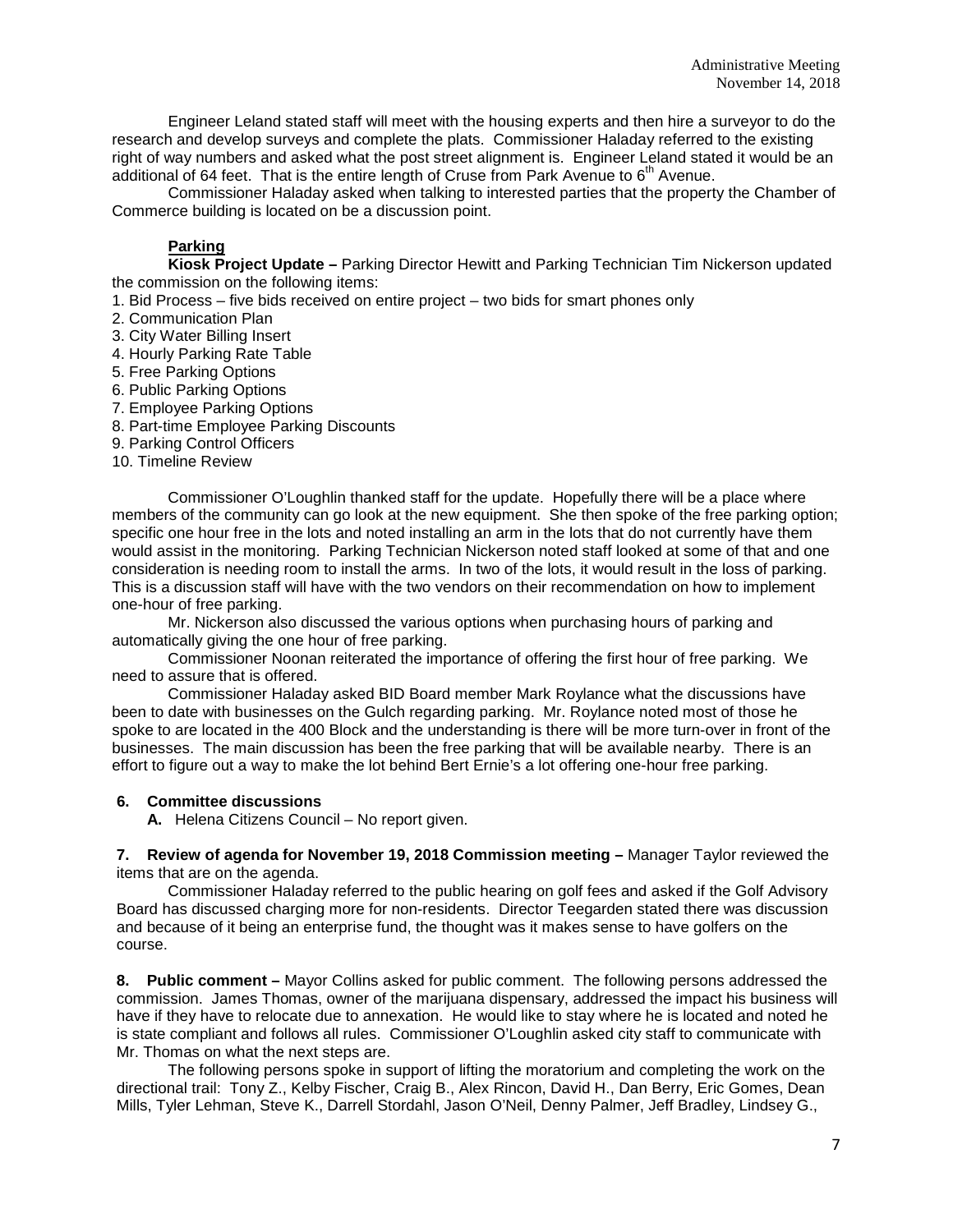Engineer Leland stated staff will meet with the housing experts and then hire a surveyor to do the research and develop surveys and complete the plats. Commissioner Haladay referred to the existing right of way numbers and asked what the post street alignment is. Engineer Leland stated it would be an additional of 64 feet. That is the entire length of Cruse from Park Avenue to  $6<sup>th</sup>$  Avenue.

Commissioner Haladay asked when talking to interested parties that the property the Chamber of Commerce building is located on be a discussion point.

### **Parking**

**Kiosk Project Update –** Parking Director Hewitt and Parking Technician Tim Nickerson updated the commission on the following items:

- 1. Bid Process five bids received on entire project two bids for smart phones only
- 2. Communication Plan
- 3. City Water Billing Insert
- 4. Hourly Parking Rate Table
- 5. Free Parking Options
- 6. Public Parking Options
- 7. Employee Parking Options
- 8. Part-time Employee Parking Discounts
- 9. Parking Control Officers
- 10. Timeline Review

Commissioner O'Loughlin thanked staff for the update. Hopefully there will be a place where members of the community can go look at the new equipment. She then spoke of the free parking option; specific one hour free in the lots and noted installing an arm in the lots that do not currently have them would assist in the monitoring. Parking Technician Nickerson noted staff looked at some of that and one consideration is needing room to install the arms. In two of the lots, it would result in the loss of parking. This is a discussion staff will have with the two vendors on their recommendation on how to implement one-hour of free parking.

Mr. Nickerson also discussed the various options when purchasing hours of parking and automatically giving the one hour of free parking.

Commissioner Noonan reiterated the importance of offering the first hour of free parking. We need to assure that is offered.

Commissioner Haladay asked BID Board member Mark Roylance what the discussions have been to date with businesses on the Gulch regarding parking. Mr. Roylance noted most of those he spoke to are located in the 400 Block and the understanding is there will be more turn-over in front of the businesses. The main discussion has been the free parking that will be available nearby. There is an effort to figure out a way to make the lot behind Bert Ernie's a lot offering one-hour free parking.

#### **6. Committee discussions**

**A.** Helena Citizens Council – No report given.

**7. Review of agenda for November 19, 2018 Commission meeting –** Manager Taylor reviewed the items that are on the agenda.

Commissioner Haladay referred to the public hearing on golf fees and asked if the Golf Advisory Board has discussed charging more for non-residents. Director Teegarden stated there was discussion and because of it being an enterprise fund, the thought was it makes sense to have golfers on the course.

**8. Public comment –** Mayor Collins asked for public comment. The following persons addressed the commission. James Thomas, owner of the marijuana dispensary, addressed the impact his business will have if they have to relocate due to annexation. He would like to stay where he is located and noted he is state compliant and follows all rules. Commissioner O'Loughlin asked city staff to communicate with Mr. Thomas on what the next steps are.

The following persons spoke in support of lifting the moratorium and completing the work on the directional trail: Tony Z., Kelby Fischer, Craig B., Alex Rincon, David H., Dan Berry, Eric Gomes, Dean Mills, Tyler Lehman, Steve K., Darrell Stordahl, Jason O'Neil, Denny Palmer, Jeff Bradley, Lindsey G.,